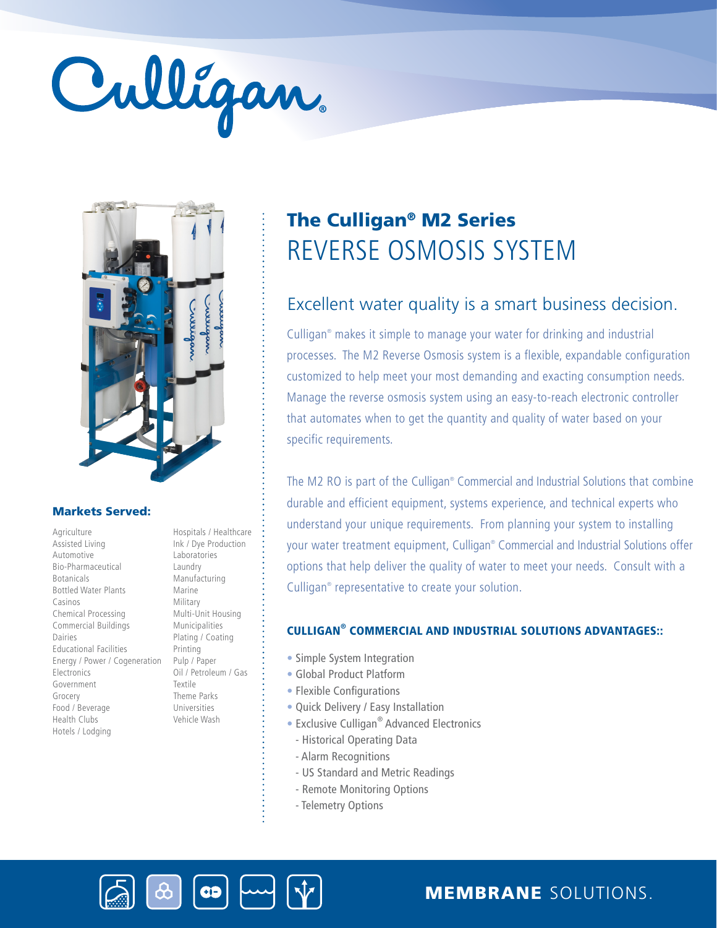# Culligan



#### Markets Served:

Agriculture Assisted Living Automotive Bio-Pharmaceutical Botanicals Bottled Water Plants Casinos Chemical Processing Commercial Buildings Dairies Educational Facilities Energy / Power / Cogeneration Electronics Government Grocery Food / Beverage Health Clubs Hotels / Lodging

Hospitals / Healthcare Ink / Dye Production Laboratories Laundry Manufacturing Marine Military Multi-Unit Housing Municipalities Plating / Coating Printing Pulp / Paper Oil / Petroleum / Gas Textile Theme Parks Universities Vehicle Wash

## REVERSE OSMOSIS SYSTEM The Culligan® M2 Series

### Excellent water quality is a smart business decision.

Culligan® makes it simple to manage your water for drinking and industrial processes. The M2 Reverse Osmosis system is a flexible, expandable configuration customized to help meet your most demanding and exacting consumption needs. Manage the reverse osmosis system using an easy-to-reach electronic controller that automates when to get the quantity and quality of water based on your specific requirements.

The M2 RO is part of the Culligan® Commercial and Industrial Solutions that combine durable and efficient equipment, systems experience, and technical experts who understand your unique requirements. From planning your system to installing your water treatment equipment, Culligan® Commercial and Industrial Solutions offer options that help deliver the quality of water to meet your needs. Consult with a Culligan® representative to create your solution.

#### CULLIGAN® COMMERCIAL AND INDUSTRIAL SOLUTIONS ADVANTAGES::

- Simple System Integration
- Global Product Platform
- Flexible Configurations
- Quick Delivery / Easy Installation
- Exclusive Culligan<sup>®</sup> Advanced Electronics
- Historical Operating Data
- Alarm Recognitions
- US Standard and Metric Readings
- Remote Monitoring Options
- Telemetry Options



MEMBRANE SOLUTIONS.